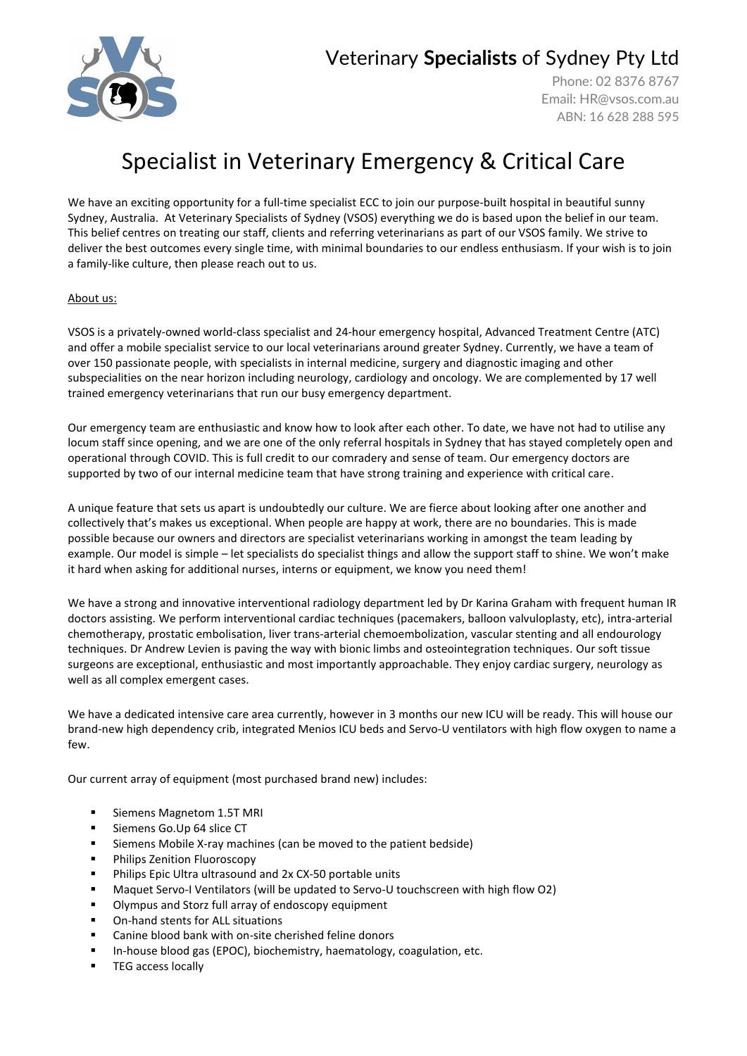

### Veterinary **Specialists** of Sydney Pty Ltd

Phone: 02 8376 8767 Email: [HR@vsos.com.au](mailto:HR@vsos.com.au) ABN: 16 628 288 595

# Specialist in Veterinary Emergency & Critical Care

We have an exciting opportunity for a full-time specialist ECC to join our purpose-built hospital in beautiful sunny Sydney, Australia. At Veterinary Specialists of Sydney (VSOS) everything we do is based upon the belief in our team. This belief centres on treating our staff, clients and referring veterinarians as part of our VSOS family. We strive to deliver the best outcomes every single time, with minimal boundaries to our endless enthusiasm. If your wish is to join a family-like culture, then please reach out to us.

### About us:

VSOS is a privately-owned world-class specialist and 24-hour emergency hospital, Advanced Treatment Centre (ATC) and offer a mobile specialist service to our local veterinarians around greater Sydney. Currently, we have a team of over 150 passionate people, with specialists in internal medicine, surgery and diagnostic imaging and other subspecialities on the near horizon including neurology, cardiology and oncology. We are complemented by 17 well trained emergency veterinarians that run our busy emergency department.

Our emergency team are enthusiastic and know how to look after each other. To date, we have not had to utilise any locum staff since opening, and we are one of the only referral hospitals in Sydney that has stayed completely open and operational through COVID. This is full credit to our comradery and sense of team. Our emergency doctors are supported by two of our internal medicine team that have strong training and experience with critical care.

A unique feature that sets us apart is undoubtedly our culture. We are fierce about looking after one another and collectively that's makes us exceptional. When people are happy at work, there are no boundaries. This is made possible because our owners and directors are specialist veterinarians working in amongst the team leading by example. Our model is simple – let specialists do specialist things and allow the support staff to shine. We won't make it hard when asking for additional nurses, interns or equipment, we know you need them!

We have a strong and innovative interventional radiology department led by Dr Karina Graham with frequent human IR doctors assisting. We perform interventional cardiac techniques (pacemakers, balloon valvuloplasty, etc), intra-arterial chemotherapy, prostatic embolisation, liver trans-arterial chemoembolization, vascular stenting and all endourology techniques. Dr Andrew Levien is paving the way with bionic limbs and osteointegration techniques. Our soft tissue surgeons are exceptional, enthusiastic and most importantly approachable. They enjoy cardiac surgery, neurology as well as all complex emergent cases.

We have a dedicated intensive care area currently, however in 3 months our new ICU will be ready. This will house our brand-new high dependency crib, integrated Menios ICU beds and Servo-U ventilators with high flow oxygen to name a few.

Our current array of equipment (most purchased brand new) includes:

- Siemens Magnetom 1.5T MRI
- Siemens Go.Up 64 slice CT
- Siemens Mobile X-ray machines (can be moved to the patient bedside)
- Philips Zenition Fluoroscopy
- Philips Epic Ultra ultrasound and 2x CX-50 portable units
- Maquet Servo-I Ventilators (will be updated to Servo-U touchscreen with high flow O2)
- Olympus and Storz full array of endoscopy equipment
- On-hand stents for ALL situations
- Canine blood bank with on-site cherished feline donors
- In-house blood gas (EPOC), biochemistry, haematology, coagulation, etc.
- **■** TEG access locally